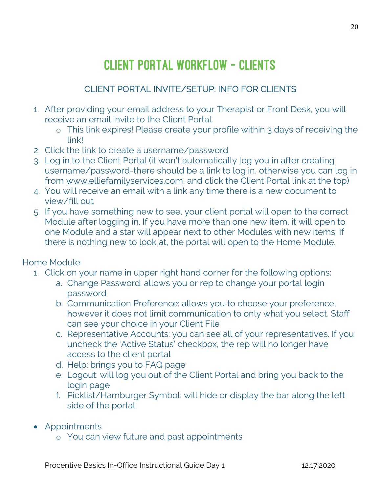## CLIENT PORTAL WORKFLOW – CLIENTS

## CLIENT PORTAL INVITE/SETUP: INFO FOR CLIENTS

- 1. After providing your email address to your Therapist or Front Desk, you will receive an email invite to the Client Portal
	- o This link expires! Please create your profile within 3 days of receiving the link!
- 2. Click the link to create a username/password
- 3. Log in to the Client Portal (it won't automatically log you in after creating username/password-there should be a link to log in, otherwise you can log in from www.elliefamilyservices.com, and click the Client Portal link at the top)
- 4. You will receive an email with a link any time there is a new document to view/fill out
- 5. If you have something new to see, your client portal will open to the correct Module after logging in. If you have more than one new item, it will open to one Module and a star will appear next to other Modules with new items. If there is nothing new to look at, the portal will open to the Home Module.

## Home Module

- 1. Click on your name in upper right hand corner for the following options:
	- a. Change Password: allows you or rep to change your portal login password
	- b. Communication Preference: allows you to choose your preference, however it does not limit communication to only what you select. Staff can see your choice in your Client File
	- c. Representative Accounts: you can see all of your representatives. If you uncheck the 'Active Status' checkbox, the rep will no longer have access to the client portal
	- d. Help: brings you to FAQ page
	- e. Logout: will log you out of the Client Portal and bring you back to the login page
	- f. Picklist/Hamburger Symbol: will hide or display the bar along the left side of the portal
- Appointments
	- o You can view future and past appointments